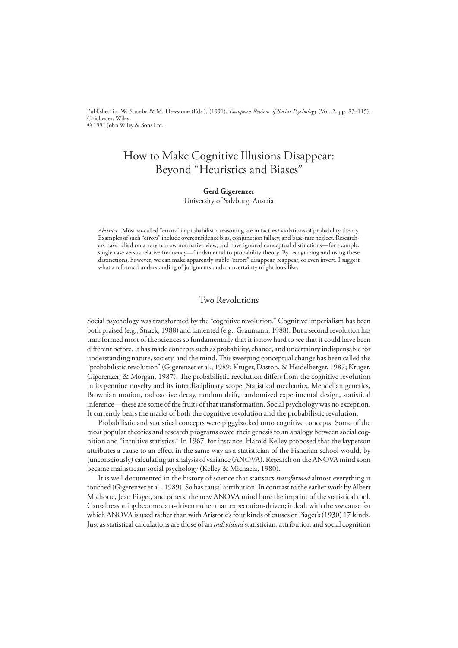Published in: W. Stroebe & M. Hewstone (Eds.). (1991). *European Review of Social Psychology* (Vol. 2, pp. 83–115). Chichester: Wiley. © 1991 John Wiley & Sons Ltd.

# How to Make Cognitive Illusions Disappear: Beyond "Heuristics and Biases"

### **Gerd Gigerenzer**

University of Salzburg, Austria

*Abstract.* Most so-called "errors" in probabilistic reasoning are in fact *not* violations of probability theory. Examples of such "errors" include overconfidence bias, conjunction fallacy, and base-rate neglect. Researchers have relied on a very narrow normative view, and have ignored conceptual distinctions—for example, single case versus relative frequency—fundamental to probability theory. By recognizing and using these distinctions, however, we can make apparently stable "errors" disappear, reappear, or even invert. I suggest what a reformed understanding of judgments under uncertainty might look like.

# Two Revolutions

Social psychology was transformed by the "cognitive revolution." Cognitive imperialism has been both praised (e.g., Strack, 1988) and lamented (e.g., Graumann, 1988). But a second revolution has transformed most of the sciences so fundamentally that it is now hard to see that it could have been different before. It has made concepts such as probability, chance, and uncertainty indispensable for understanding nature, society, and the mind. This sweeping conceptual change has been called the "probabilistic revolution" (Gigerenzer et al., 1989; Krüger, Daston, & Heidelberger, 1987; Krüger, Gigerenzer, & Morgan, 1987). The probabilistic revolution differs from the cognitive revolution in its genuine novelty and its interdisciplinary scope. Statistical mechanics, Mendelian genetics, Brownian motion, radioactive decay, random drift, randomized experimental design, statistical inference—these are some of the fruits of that transformation. Social psychology was no exception. It currently bears the marks of both the cognitive revolution and the probabilistic revolution.

Probabilistic and statistical concepts were piggybacked onto cognitive concepts. Some of the most popular theories and research programs owed their genesis to an analogy between social cognition and "intuitive statistics." In 1967, for instance, Harold Kelley proposed that the layperson attributes a cause to an effect in the same way as a statistician of the Fisherian school would, by (unconsciously) calculating an analysis of variance (ANOVA). Research on the ANOVA mind soon became mainstream social psychology (Kelley & Michaela, 1980).

It is well documented in the history of science that statistics *transformed* almost everything it touched (Gigerenzer et al., 1989). So has causal attribution. In contrast to the earlier work by Albert Michotte, Jean Piaget, and others, the new ANOVA mind bore the imprint of the statistical tool. Causal reasoning became data-driven rather than expectation-driven; it dealt with the *one* cause for which ANOVA is used rather than with Aristotle's four kinds of causes or Piaget's (1930) 17 kinds. Just as statistical calculations are those of an *individual* statistician, attribution and social cognition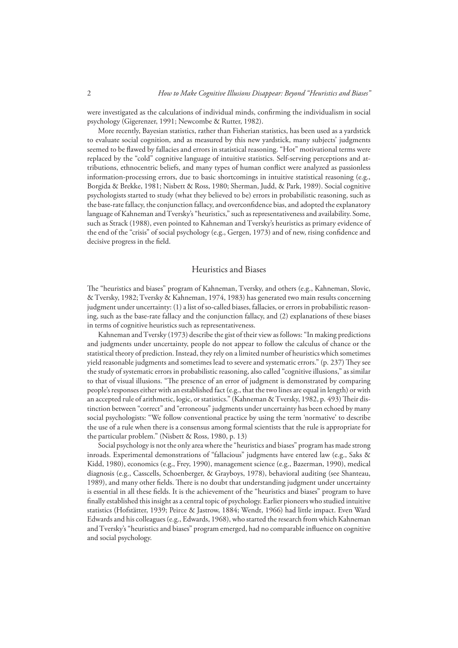were investigated as the calculations of individual minds, confirming the individualism in social psychology (Gigerenzer, 1991; Newcombe & Rutter, 1982).

More recently, Bayesian statistics, rather than Fisherian statistics, has been used as a yardstick to evaluate social cognition, and as measured by this new yardstick, many subjects' judgments seemed to be flawed by fallacies and errors in statistical reasoning. "Hot" motivational terms were replaced by the "cold" cognitive language of intuitive statistics. Self-serving perceptions and attributions, ethnocentric beliefs, and many types of human conflict were analyzed as passionless information-processing errors, due to basic shortcomings in intuitive statistical reasoning (e.g., Borgida & Brekke, 1981; Nisbett & Ross, 1980; Sherman, Judd, & Park, 1989). Social cognitive psychologists started to study (what they believed to be) errors in probabilistic reasoning, such as the base-rate fallacy, the conjunction fallacy, and overconfidence bias, and adopted the explanatory language of Kahneman and Tversky's "heuristics," such as representativeness and availability. Some, such as Strack (1988), even pointed to Kahneman and Tversky's heuristics as primary evidence of the end of the "crisis" of social psychology (e.g., Gergen, 1973) and of new, rising confidence and decisive progress in the field.

### Heuristics and Biases

The "heuristics and biases" program of Kahneman, Tversky, and others (e.g., Kahneman, Slovic, & Tversky, 1982; Tversky & Kahneman, 1974, 1983) has generated two main results concerning judgment under uncertainty: (1) a list of so-called biases, fallacies, or errors in probabilistic reasoning, such as the base-rate fallacy and the conjunction fallacy, and (2) explanations of these biases in terms of cognitive heuristics such as representativeness.

Kahneman and Tversky (1973) describe the gist of their view as follows: "In making predictions and judgments under uncertainty, people do not appear to follow the calculus of chance or the statistical theory of prediction. Instead, they rely on a limited number of heuristics which sometimes yield reasonable judgments and sometimes lead to severe and systematic errors." (p. 237) They see the study of systematic errors in probabilistic reasoning, also called "cognitive illusions," as similar to that of visual illusions. "The presence of an error of judgment is demonstrated by comparing people's responses either with an established fact (e.g., that the two lines are equal in length) or with an accepted rule of arithmetic, logic, or statistics." (Kahneman & Tversky, 1982, p. 493) Their distinction between "correct" and "erroneous" judgments under uncertainty has been echoed by many social psychologists: "We follow conventional practice by using the term 'normative' to describe the use of a rule when there is a consensus among formal scientists that the rule is appropriate for the particular problem." (Nisbett & Ross, 1980, p. 13)

Social psychology is not the only area where the "heuristics and biases" program has made strong inroads. Experimental demonstrations of "fallacious" judgments have entered law (e.g., Saks & Kidd, 1980), economics (e.g., Frey, 1990), management science (e.g., Bazerman, 1990), medical diagnosis (e.g., Casscells, Schoenberger, & Grayboys, 1978), behavioral auditing (see Shanteau, 1989), and many other fields. There is no doubt that understanding judgment under uncertainty is essential in all these fields. It is the achievement of the "heuristics and biases" program to have finally established this insight as a central topic of psychology. Earlier pioneers who studied intuitive statistics (Hofstätter, 1939; Peirce & Jastrow, 1884; Wendt, 1966) had little impact. Even Ward Edwards and his colleagues (e.g., Edwards, 1968), who started the research from which Kahneman and Tversky's "heuristics and biases" program emerged, had no comparable influence on cognitive and social psychology.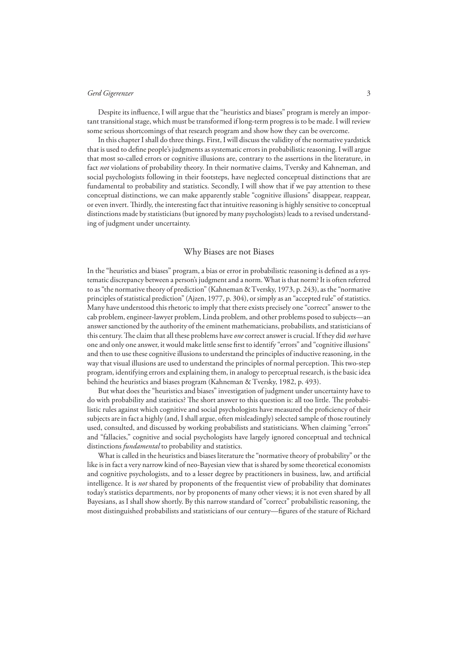Despite its influence, I will argue that the "heuristics and biases" program is merely an important transitional stage, which must be transformed if long-term progress is to be made. I will review some serious shortcomings of that research program and show how they can be overcome.

In this chapter I shall do three things. First, I will discuss the validity of the normative yardstick that is used to define people's judgments as systematic errors in probabilistic reasoning. I will argue that most so-called errors or cognitive illusions are, contrary to the assertions in the literature, in fact *not* violations of probability theory. In their normative claims, Tversky and Kahneman, and social psychologists following in their footsteps, have neglected conceptual distinctions that are fundamental to probability and statistics. Secondly, I will show that if we pay attention to these conceptual distinctions, we can make apparently stable "cognitive illusions" disappear, reappear, or even invert. Thirdly, the interesting fact that intuitive reasoning is highly sensitive to conceptual distinctions made by statisticians (but ignored by many psychologists) leads to a revised understanding of judgment under uncertainty.

### Why Biases are not Biases

In the "heuristics and biases" program, a bias or error in probabilistic reasoning is defined as a systematic discrepancy between a person's judgment and a norm. What is that norm? It is often referred to as "the normative theory of prediction" (Kahneman & Tversky, 1973, p. 243), as the "normative principles of statistical prediction" (Ajzen, 1977, p. 304), or simply as an "accepted rule" of statistics. Many have understood this rhetoric to imply that there exists precisely one "correct" answer to the cab problem, engineer-lawyer problem, Linda problem, and other problems posed to subjects—an answer sanctioned by the authority of the eminent mathematicians, probabilists, and statisticians of this century. The claim that all these problems have *one* correct answer is crucial. If they did *not* have one and only one answer, it would make little sense first to identify "errors" and "cognitive illusions" and then to use these cognitive illusions to understand the principles of inductive reasoning, in the way that visual illusions are used to understand the principles of normal perception. This two-step program, identifying errors and explaining them, in analogy to perceptual research, is the basic idea behind the heuristics and biases program (Kahneman & Tversky, 1982, p. 493).

But what does the "heuristics and biases" investigation of judgment under uncertainty have to do with probability and statistics? The short answer to this question is: all too little. The probabilistic rules against which cognitive and social psychologists have measured the proficiency of their subjects are in fact a highly (and, I shall argue, often misleadingly) selected sample of those routinely used, consulted, and discussed by working probabilists and statisticians. When claiming "errors" and "fallacies," cognitive and social psychologists have largely ignored conceptual and technical distinctions *fundamental* to probability and statistics.

What is called in the heuristics and biases literature the "normative theory of probability" or the like is in fact a very narrow kind of neo-Bayesian view that is shared by some theoretical economists and cognitive psychologists, and to a lesser degree by practitioners in business, law, and artificial intelligence. It is *not* shared by proponents of the frequentist view of probability that dominates today's statistics departments, nor by proponents of many other views; it is not even shared by all Bayesians, as I shall show shortly. By this narrow standard of "correct" probabilistic reasoning, the most distinguished probabilists and statisticians of our century—figures of the stature of Richard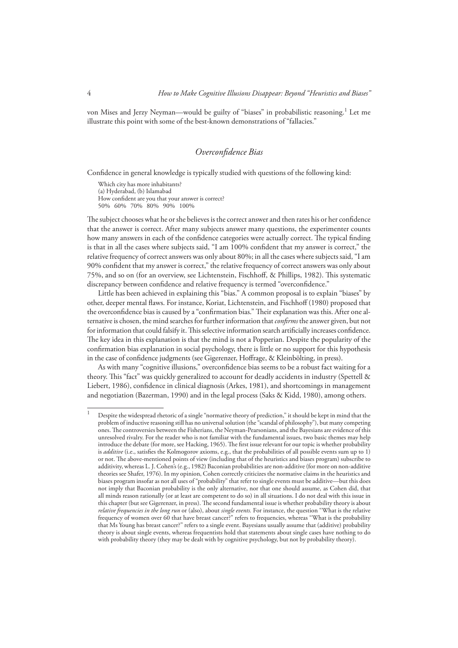von Mises and Jerzy Neyman—would be guilty of "biases" in probabilistic reasoning.<sup>1</sup> Let me illustrate this point with some of the best-known demonstrations of "fallacies."

# *Overconfi dence Bias*

Confidence in general knowledge is typically studied with questions of the following kind:

Which city has more inhabitants? (a) Hyderabad, (b) Islamabad How confident are you that your answer is correct? 50% 60% 70% 80% 90% 100%

The subject chooses what he or she believes is the correct answer and then rates his or her confidence that the answer is correct. After many subjects answer many questions, the experimenter counts how many answers in each of the confidence categories were actually correct. The typical finding is that in all the cases where subjects said, "I am 100% confident that my answer is correct," the relative frequency of correct answers was only about 80%; in all the cases where subjects said, "I am 90% confident that my answer is correct," the relative frequency of correct answers was only about 75%, and so on (for an overview, see Lichtenstein, Fischhoff, & Phillips, 1982). This systematic discrepancy between confidence and relative frequency is termed "overconfidence."

Little has been achieved in explaining this "bias." A common proposal is to explain "biases" by other, deeper mental flaws. For instance, Koriat, Lichtenstein, and Fischhoff (1980) proposed that the overconfidence bias is caused by a "confirmation bias." Their explanation was this. After one alternative is chosen, the mind searches for further information that *confirms* the answer given, but not for information that could falsify it. This selective information search artificially increases confidence. The key idea in this explanation is that the mind is not a Popperian. Despite the popularity of the confirmation bias explanation in social psychology, there is little or no support for this hypothesis in the case of confidence judgments (see Gigerenzer, Hoffrage, & Kleinbölting, in press).

As with many "cognitive illusions," overconfidence bias seems to be a robust fact waiting for a theory. This "fact" was quickly generalized to account for deadly accidents in industry (Spettell & Liebert, 1986), confidence in clinical diagnosis (Arkes, 1981), and shortcomings in management and negotiation (Bazerman, 1990) and in the legal process (Saks & Kidd, 1980), among others.

<sup>1</sup> Despite the widespread rhetoric of a single "normative theory of prediction," it should be kept in mind that the problem of inductive reasoning still has no universal solution (the "scandal of philosophy"), but many competing ones. The controversies between the Fisherians, the Neyman-Pearsonians, and the Bayesians are evidence of this unresolved rivalry. For the reader who is not familiar with the fundamental issues, two basic themes may help introduce the debate (for more, see Hacking, 1965). The first issue relevant for our topic is whether probability is *additive* (i.e., satisfies the Kolmogorov axioms, e.g., that the probabilities of all possible events sum up to 1) or not. The above-mentioned points of view (including that of the heuristics and biases program) subscribe to additivity, whereas L. J. Cohen's (e.g., 1982) Baconian probabilities are non-additive (for more on non-additive theories see Shafer, 1976). In my opinion, Cohen correctly criticizes the normative claims in the heuristics and biases program insofar as not all uses of "probability" that refer to single events must be additive—but this does not imply that Baconian probability is the only alternative, nor that one should assume, as Cohen did, that all minds reason rationally (or at least are competent to do so) in all situations. I do not deal with this issue in this chapter (but see Gigerenzer, in press). The second fundamental issue is whether probability theory is about *relative frequencies in the long run* or (also), about *single events.* For instance, the question "What is the relative frequency of women over 60 that have breast cancer?" refers to frequencies, whereas "What is the probability that Ms Young has breast cancer?" refers to a single event. Bayesians usually assume that (additive) probability theory is about single events, whereas frequentists hold that statements about single cases have nothing to do with probability theory (they may be dealt with by cognitive psychology, but not by probability theory).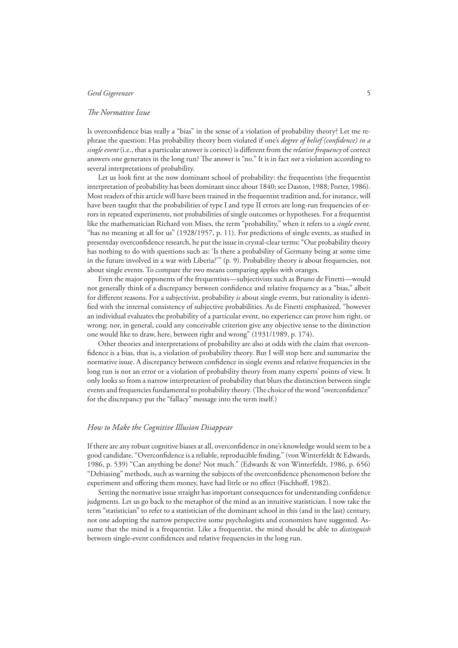### **The Normative Issue**

Is overconfidence bias really a "bias" in the sense of a violation of probability theory? Let me rephrase the question: Has probability theory been violated if one's *degree of belief (confidence) in a single event* (i.e., that a particular answer is correct) is different from the *relative frequency* of correct answers one generates in the long run? The answer is "no." It is in fact *not* a violation according to several interpretations of probability.

Let us look first at the now dominant school of probability: the frequentists (the frequentist interpretation of probability has been dominant since about 1840; see Daston, 1988; Porter, 1986). Most readers of this article will have been trained in the frequentist tradition and, for instance, will have been taught that the probabilities of type I and type II errors are long-run frequencies of errors in repeated experiments, not probabilities of single outcomes or hypotheses. For a frequentist like the mathematician Richard von Mises, the term "probability," when it refers to a *single event,*  "has no meaning at all for us" (1928/1957, p. 11). For predictions of single events, as studied in presentday overconfidence research, he put the issue in crystal-clear terms: "Our probability theory has nothing to do with questions such as: 'Is there a probability of Germany being at some time in the future involved in a war with Liberia?'" (p. 9). Probability theory is about frequencies, not about single events. To compare the two means comparing apples with oranges.

Even the major opponents of the frequentists—subjectivists such as Bruno de Finetti—would not generally think of a discrepancy between confidence and relative frequency as a "bias," albeit for diff erent reasons. For a subjectivist, probability *is* about single events, but rationality is identified with the internal consistency of subjective probabilities. As de Finetti emphasized, "however an individual evaluates the probability of a particular event, no experience can prove him right, or wrong; nor, in general, could any conceivable criterion give any objective sense to the distinction one would like to draw, here, between right and wrong" (1931/1989, p. 174).

Other theories and interpretations of probability are also at odds with the claim that overconfidence is a bias, that is, a violation of probability theory. But I will stop here and summarize the normative issue. A discrepancy between confidence in single events and relative frequencies in the long run is not an error or a violation of probability theory from many experts' points of view. It only looks so from a narrow interpretation of probability that blurs the distinction between single events and frequencies fundamental to probability theory. (The choice of the word "overconfidence" for the discrepancy put the "fallacy" message into the term itself.)

#### *How to Make the Cognitive Illusion Disappear*

If there are any robust cognitive biases at all, overconfidence in one's knowledge would seem to be a good candidate. "Overconfidence is a reliable, reproducible finding." (von Winterfeldt & Edwards, 1986, p. 539) "Can anything be done? Not much." (Edwards & von Winterfeldt, 1986, p. 656) "Debiasing" methods, such as warning the subjects of the overconfidence phenomenon before the experiment and offering them money, have had little or no effect (Fischhoff, 1982).

Setting the normative issue straight has important consequences for understanding confidence judgments. Let us go back to the metaphor of the mind as an intuitive statistician. I now take the term "statistician" to refer to a statistician of the dominant school in this (and in the last) century, not one adopting the narrow perspective some psychologists and economists have suggested. Assume that the mind is a frequentist. Like a frequentist, the mind should be able to *distinguish* between single-event confidences and relative frequencies in the long run.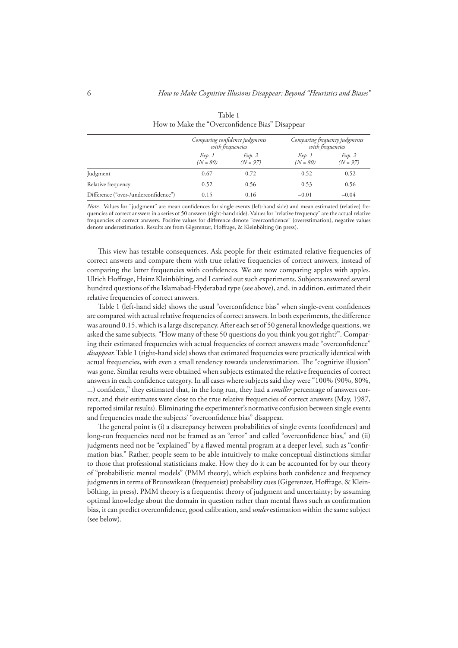|                                      | Comparing confidence judgments<br>with frequencies |                      | Comparing frequency judgments<br>with frequencies |                      |
|--------------------------------------|----------------------------------------------------|----------------------|---------------------------------------------------|----------------------|
|                                      | Exp. 1<br>$(N = 80)$                               | Exp. 2<br>$(N = 97)$ | Exp. 1<br>$(N = 80)$                              | Exp. 2<br>$(N = 97)$ |
| Judgment                             | 0.67                                               | 0.72                 | 0.52                                              | 0.52                 |
| Relative frequency                   | 0.52                                               | 0.56                 | 0.53                                              | 0.56                 |
| Difference ("over-/underconfidence") | 0.15                                               | 0.16                 | $-0.01$                                           | $-0.04$              |

| Table 1                                         |  |
|-------------------------------------------------|--|
| How to Make the "Overconfidence Bias" Disappear |  |

*Note.* Values for "judgment" are mean confidences for single events (left-hand side) and mean estimated (relative) frequencies of correct answers in a series of 50 answers (right-hand side). Values for "relative frequency" are the actual relative frequencies of correct answers. Positive values for difference denote "overconfidence" (overestimation), negative values denote underestimation. Results are from Gigerenzer, Hoffrage, & Kleinbölting (in press).

This view has testable consequences. Ask people for their estimated relative frequencies of correct answers and compare them with true relative frequencies of correct answers, instead of comparing the latter frequencies with confidences. We are now comparing apples with apples. Ulrich Hoffrage, Heinz Kleinbölting, and I carried out such experiments. Subjects answered several hundred questions of the Islamabad-Hyderabad type (see above), and, in addition, estimated their relative frequencies of correct answers.

Table 1 (left-hand side) shows the usual "overconfidence bias" when single-event confidences are compared with actual relative frequencies of correct answers. In both experiments, the difference was around 0.15, which is a large discrepancy. After each set of 50 general knowledge questions, we asked the same subjects, "How many of these 50 questions do you think you got right?". Comparing their estimated frequencies with actual frequencies of correct answers made "overconfidence" *disappear.* Table 1 (right-hand side) shows that estimated frequencies were practically identical with actual frequencies, with even a small tendency towards underestimation. The "cognitive illusion" was gone. Similar results were obtained when subjects estimated the relative frequencies of correct answers in each confidence category. In all cases where subjects said they were "100% (90%, 80%, ...) confident," they estimated that, in the long run, they had a *smaller* percentage of answers correct, and their estimates were close to the true relative frequencies of correct answers (May, 1987, reported similar results). Eliminating the experimenter's normative confusion between single events and frequencies made the subjects' "overconfidence bias" disappear.

The general point is (i) a discrepancy between probabilities of single events (confidences) and long-run frequencies need not be framed as an "error" and called "overconfidence bias," and (ii) judgments need not be "explained" by a flawed mental program at a deeper level, such as "confirmation bias." Rather, people seem to be able intuitively to make conceptual distinctions similar to those that professional statisticians make. How they do it can be accounted for by our theory of "probabilistic mental models" (PMM theory), which explains both confidence and frequency judgments in terms of Brunswikean (frequentist) probability cues (Gigerenzer, Hoffrage, & Kleinbölting, in press). PMM theory is a frequentist theory of judgment and uncertainty; by assuming optimal knowledge about the domain in question rather than mental flaws such as confirmation bias, it can predict overconfidence, good calibration, and *under* estimation within the same subject (see below).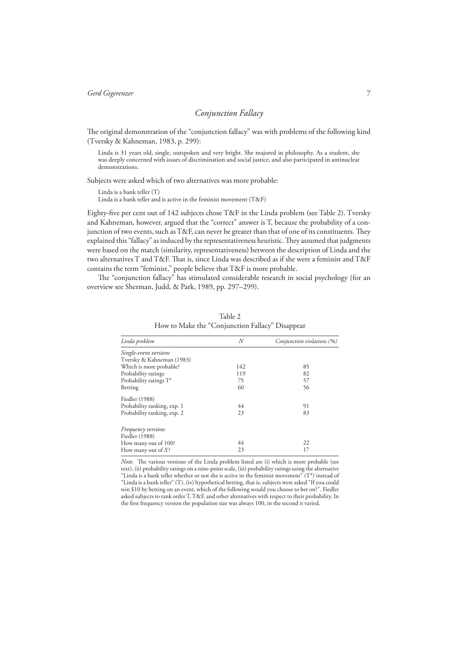# *Conjunction Fallacy*

The original demonstration of the "conjunction fallacy" was with problems of the following kind (Tversky & Kahneman, 1983, p. 299):

Linda is 31 years old, single, outspoken and very bright. She majored in philosophy. As a student, she was deeply concerned with issues of discrimination and social justice, and also participated in antinuclear demonstrations.

Subjects were asked which of two alternatives was more probable:

Linda is a bank teller (T) Linda is a bank teller and is active in the feminist movement (T&F)

Eighty-five per cent out of 142 subjects chose T&F in the Linda problem (see Table 2). Tversky and Kahneman, however, argued that the "correct" answer is T, because the probability of a conjunction of two events, such as T&F, can never be greater than that of one of its constituents. They explained this "fallacy" as induced by the representativeness heuristic. They assumed that judgments were based on the match (similarity, representativeness) between the description of Linda and the two alternatives T and T&F. That is, since Linda was described as if she were a feminist and T&F contains the term "feminist," people believe that T&F is more probable.

The "conjunction fallacy" has stimulated considerable research in social psychology (for an overview see Sherman, Judd, & Park, 1989, pp. 297–299).

| Linda problem               | N   | Conjunction violations (%) |
|-----------------------------|-----|----------------------------|
| Single-event versions       |     |                            |
| Tversky & Kahneman (1983)   |     |                            |
| Which is more probable?     | 142 | 85                         |
| Probability ratings         | 119 | 82                         |
| Probability ratings $T^*$   | 75  | 57                         |
| Betting                     | 60  | 56                         |
| Fiedler (1988)              |     |                            |
| Probability ranking, exp. 1 | 44  | 91                         |
| Probability ranking, exp. 2 | 23  | 83                         |
| Frequency versions          |     |                            |
| Fiedler (1988)              |     |                            |
| How many out of 100?        | 44  | 22                         |
| How many out of $X$ ?       | 23  | 17                         |

Table 2 How to Make the "Conjunction Fallacy" Disappear

*Note*. The various versions of the Linda problem listed are (i) which is more probable (see text), (ii) probability ratings on a nine-point scale, (iii) probability ratings using the alternative "Linda is a bank teller whether or not she is active in the feminist movement" (T\*) instead of "Linda is a bank teller" (T), (iv) hypothetical betting, that is, subjects were asked "If you could win \$10 by betting on an event, which of the following would you choose to bet on?". Fiedler asked subjects to rank order T, T&F, and other alternatives with respect to their probability. In the first frequency version the population size was always 100, in the second it varied.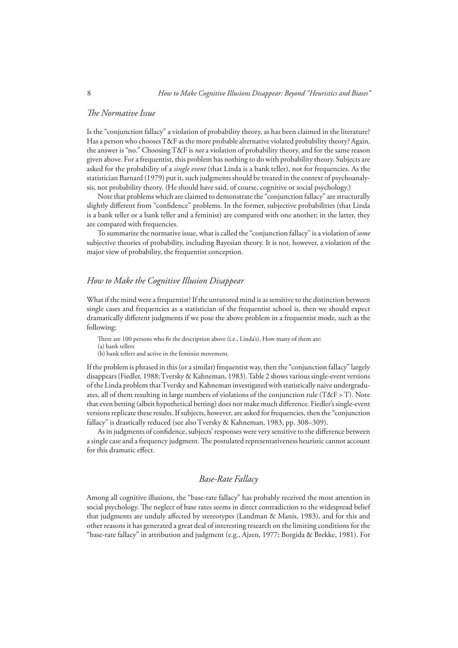# **The Normative Issue**

Is the "conjunction fallacy" a violation of probability theory, as has been claimed in the literature? Has a person who chooses T&F as the more probable alternative violated probability theory? Again, the answer is "no." Choosing T&F is *not* a violation of probability theory, and for the same reason given above. For a frequentist, this problem has nothing to do with probability theory. Subjects are asked for the probability of a *single event* (that Linda is a bank teller), not for frequencies. As the statistician Barnard (1979) put it, such judgments should be treated in the context of psychoanalysis, not probability theory. (He should have said, of course, cognitive or social psychology.)

Note that problems which are claimed to demonstrate the "conjunction fallacy" are structurally slightly different from "confidence" problems. In the former, subjective probabilities (that Linda is a bank teller or a bank teller and a feminist) are compared with one another; in the latter, they are compared with frequencies.

To summarize the normative issue, what is called the "conjunction fallacy" is a violation of *some* subjective theories of probability, including Bayesian theory. It is not, however, a violation of the major view of probability, the frequentist conception.

### *How to Make the Cognitive Illusion Disappear*

What if the mind were a frequentist? If the untutored mind is as sensitive to the distinction between single cases and frequencies as a statistician of the frequentist school is, then we should expect dramatically different judgments if we pose the above problem in a frequentist mode, such as the following:

There are 100 persons who fit the description above (i.e., Linda's). How many of them are:

(a) bank tellers

(b) bank tellers and active in the feminist movement.

If the problem is phrased in this (or a similar) frequentist way, then the "conjunction fallacy" largely disappears (Fiedler, 1988; Tversky & Kahneman, 1983). Table 2 shows various single-event versions of the Linda problem that Tversky and Kahneman investigated with statistically naive undergraduates, all of them resulting in large numbers of violations of the conjunction rule (T&F  $>$  T). Note that even betting (albeit hypothetical betting) does not make much difference. Fiedler's single-event versions replicate these results. If subjects, however, are asked for frequencies, then the "conjunction fallacy" is drastically reduced (see also Tversky & Kahneman, 1983, pp. 308–309).

As in judgments of confidence, subjects' responses were very sensitive to the difference between a single case and a frequency judgment. The postulated representativeness heuristic cannot account for this dramatic effect.

# *Base-Rate Fallacy*

Among all cognitive illusions, the "base-rate fallacy" has probably received the most attention in social psychology. The neglect of base rates seems in direct contradiction to the widespread belief that judgments are unduly affected by stereotypes (Landman & Manis, 1983), and for this and other reasons it has generated a great deal of interesting research on the limiting conditions for the "base-rate fallacy" in attribution and judgment (e.g., Ajzen, 1977; Borgida & Brekke, 1981). For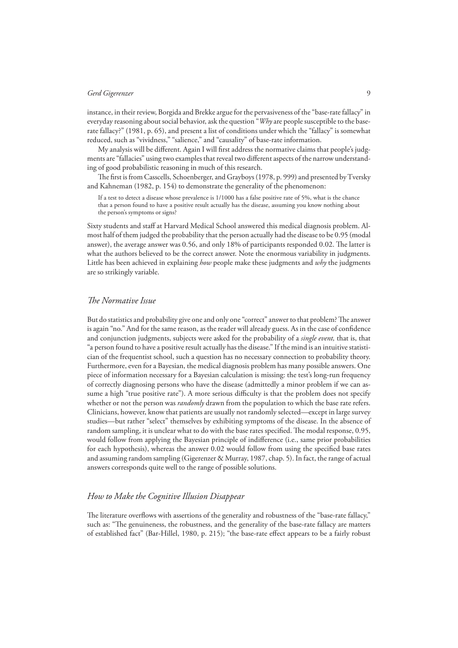instance, in their review, Borgida and Brekke argue for the pervasiveness of the "base-rate fallacy" in everyday reasoning about social behavior, ask the question "*Why* are people susceptible to the baserate fallacy?" (1981, p. 65), and present a list of conditions under which the "fallacy" is somewhat reduced, such as "vividness," "salience," and "causality" of base-rate information.

My analysis will be different. Again I will first address the normative claims that people's judgments are "fallacies" using two examples that reveal two different aspects of the narrow understanding of good probabilistic reasoning in much of this research.

The first is from Casscells, Schoenberger, and Grayboys (1978, p. 999) and presented by Tversky and Kahneman (1982, p. 154) to demonstrate the generality of the phenomenon:

If a test to detect a disease whose prevalence is 1/1000 has a false positive rate of 5%, what is the chance that a person found to have a positive result actually has the disease, assuming you know nothing about the person's symptoms or signs?

Sixty students and staff at Harvard Medical School answered this medical diagnosis problem. Almost half of them judged the probability that the person actually had the disease to be 0.95 (modal answer), the average answer was 0.56, and only 18% of participants responded 0.02. The latter is what the authors believed to be the correct answer. Note the enormous variability in judgments. Little has been achieved in explaining *how* people make these judgments and *why* the judgments are so strikingly variable.

# **The Normative Issue**

But do statistics and probability give one and only one "correct" answer to that problem? The answer is again "no." And for the same reason, as the reader will already guess. As in the case of confidence and conjunction judgments, subjects were asked for the probability of a *single event,* that is, that "a person found to have a positive result actually has the disease." If the mind is an intuitive statistician of the frequentist school, such a question has no necessary connection to probability theory. Furthermore, even for a Bayesian, the medical diagnosis problem has many possible answers. One piece of information necessary for a Bayesian calculation is missing: the test's long-run frequency of correctly diagnosing persons who have the disease (admittedly a minor problem if we can assume a high "true positive rate"). A more serious difficulty is that the problem does not specify whether or not the person was *randomly* drawn from the population to which the base rate refers. Clinicians, however, know that patients are usually not randomly selected—except in large survey studies—but rather "select" themselves by exhibiting symptoms of the disease. In the absence of random sampling, it is unclear what to do with the base rates specified. The modal response, 0.95, would follow from applying the Bayesian principle of indifference (i.e., same prior probabilities for each hypothesis), whereas the answer 0.02 would follow from using the specified base rates and assuming random sampling (Gigerenzer & Murray, 1987, chap. 5). In fact, the range of actual answers corresponds quite well to the range of possible solutions.

# *How to Make the Cognitive Illusion Disappear*

The literature overflows with assertions of the generality and robustness of the "base-rate fallacy," such as: "The genuineness, the robustness, and the generality of the base-rate fallacy are matters of established fact" (Bar-Hillel, 1980, p. 215); "the base-rate effect appears to be a fairly robust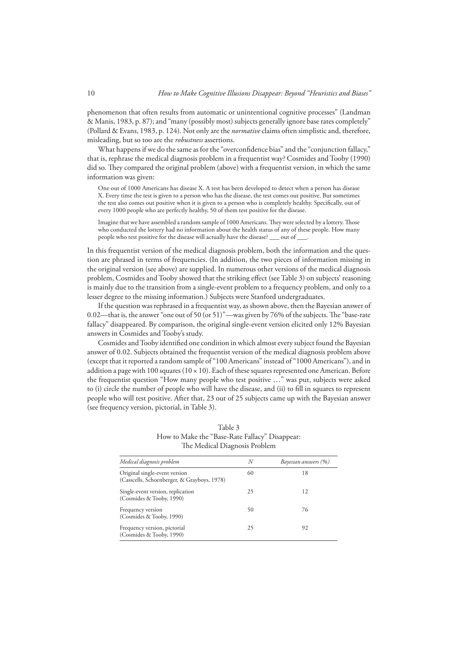phenomenon that often results from automatic or unintentional cognitive processes" (Landman & Manis, 1983, p. 87); and "many (possibly most) subjects generally ignore base rates completely" (Pollard & Evans, 1983, p. 124). Not only are the *normative* claims often simplistic and, therefore, misleading, but so too are the *robustness* assertions.

What happens if we do the same as for the "overconfidence bias" and the "conjunction fallacy," that is, rephrase the medical diagnosis problem in a frequentist way? Cosmides and Tooby (1990) did so. They compared the original problem (above) with a frequentist version, in which the same information was given:

One out of 1000 Americans has disease X. A test has been developed to detect when a person has disease X. Every time the test is given to a person who has the disease, the test comes out positive. But sometimes the test also comes out positive when it is given to a person who is completely healthy. Specifically, out of every 1000 people who are perfectly healthy, 50 of them test positive for the disease.

Imagine that we have assembled a random sample of 1000 Americans. They were selected by a lottery. Those who conducted the lottery had no information about the health status of any of these people. How many people who test positive for the disease will actually have the disease? \_\_\_ out of \_\_\_.

In this frequentist version of the medical diagnosis problem, both the information and the question are phrased in terms of frequencies. (In addition, the two pieces of information missing in the original version (see above) are supplied. In numerous other versions of the medical diagnosis problem, Cosmides and Tooby showed that the striking effect (see Table 3) on subjects' reasoning is mainly due to the transition from a single-event problem to a frequency problem, and only to a lesser degree to the missing information.) Subjects were Stanford undergraduates.

If the question was rephrased in a frequentist way, as shown above, then the Bayesian answer of 0.02—that is, the answer "one out of 50 (or 51)"—was given by 76% of the subjects. The "base-rate fallacy" disappeared. By comparison, the original single-event version elicited only 12% Bayesian answers in Cosmides and Tooby's study.

Cosmides and Tooby identified one condition in which almost every subject found the Bayesian answer of 0.02. Subjects obtained the frequentist version of the medical diagnosis problem above (except that it reported a random sample of "100 Americans" instead of "1000 Americans"), and in addition a page with 100 squares ( $10 \times 10$ ). Each of these squares represented one American. Before the frequentist question "How many people who test positive …" was put, subjects were asked to (i) circle the number of people who will have the disease, and (ii) to fill in squares to represent people who will test positive. After that, 23 out of 25 subjects came up with the Bayesian answer (see frequency version, pictorial, in Table 3).

Table 3 How to Make the "Base-Rate Fallacy" Disappear: The Medical Diagnosis Problem

| Medical diagnosis problem                                                    | N  | Bayesian answers (%) |  |
|------------------------------------------------------------------------------|----|----------------------|--|
| Original single-event version<br>(Casscells, Schoenberger, & Grayboys, 1978) | 60 | 18                   |  |
| Single-event version, replication<br>(Cosmides & Tooby, 1990)                | 25 | 12                   |  |
| Frequency version<br>(Cosmides & Tooby, 1990)                                | 50 | 76                   |  |
| Frequency version, pictorial<br>(Cosmides & Tooby, 1990)                     | 25 | 92                   |  |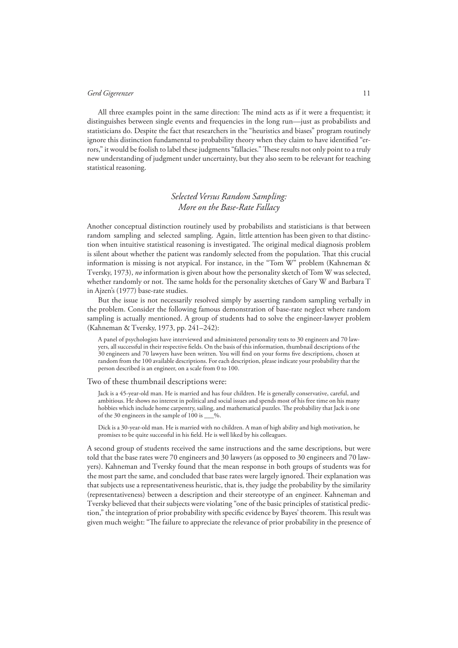All three examples point in the same direction: The mind acts as if it were a frequentist; it distinguishes between single events and frequencies in the long run—just as probabilists and statisticians do. Despite the fact that researchers in the "heuristics and biases" program routinely ignore this distinction fundamental to probability theory when they claim to have identified "errors," it would be foolish to label these judgments "fallacies." These results not only point to a truly new understanding of judgment under uncertainty, but they also seem to be relevant for teaching statistical reasoning.

# *Selected Versus Random Sampling: More on the Base-Rate Fallacy*

Another conceptual distinction routinely used by probabilists and statisticians is that between random sampling and selected sampling. Again, little attention has been given to that distinction when intuitive statistical reasoning is investigated. The original medical diagnosis problem is silent about whether the patient was randomly selected from the population. That this crucial information is missing is not atypical. For instance, in the "Tom W" problem (Kahneman & Tversky, 1973), *no* information is given about how the personality sketch of Tom W was selected, whether randomly or not. The same holds for the personality sketches of Gary W and Barbara T in Ajzen's (1977) base-rate studies.

But the issue is not necessarily resolved simply by asserting random sampling verbally in the problem. Consider the following famous demonstration of base-rate neglect where random sampling is actually mentioned. A group of students had to solve the engineer-lawyer problem (Kahneman & Tversky, 1973, pp. 241–242):

A panel of psychologists have interviewed and administered personality tests to 30 engineers and 70 lawyers, all successful in their respective fields. On the basis of this information, thumbnail descriptions of the 30 engineers and 70 lawyers have been written. You will find on your forms five descriptions, chosen at random from the 100 available descriptions. For each description, please indicate your probability that the person described is an engineer, on a scale from 0 to 100.

Two of these thumbnail descriptions were:

Jack is a 45-year-old man. He is married and has four children. He is generally conservative, careful, and ambitious. He shows no interest in political and social issues and spends most of his free time on his many hobbies which include home carpentry, sailing, and mathematical puzzles. The probability that Jack is one of the 30 engineers in the sample of 100 is \_\_\_%.

Dick is a 30-year-old man. He is married with no children. A man of high ability and high motivation, he promises to be quite successful in his field. He is well liked by his colleagues.

A second group of students received the same instructions and the same descriptions, but were told that the base rates were 70 engineers and 30 lawyers (as opposed to 30 engineers and 70 lawyers). Kahneman and Tversky found that the mean response in both groups of students was for the most part the same, and concluded that base rates were largely ignored. Their explanation was that subjects use a representativeness heuristic, that is, they judge the probability by the similarity (representativeness) between a description and their stereotype of an engineer. Kahneman and Tversky believed that their subjects were violating "one of the basic principles of statistical prediction," the integration of prior probability with specific evidence by Bayes' theorem. This result was given much weight: "The failure to appreciate the relevance of prior probability in the presence of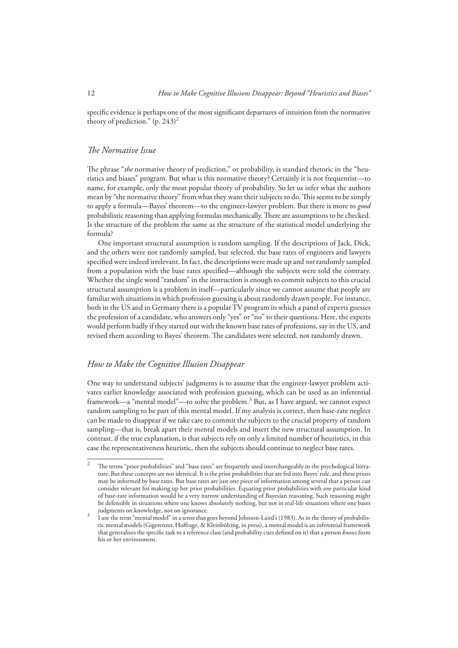specific evidence is perhaps one of the most significant departures of intuition from the normative theory of prediction."  $(p. 243)^2$ 

# **The Normative Issue**

The phrase "*the* normative theory of prediction," or probability, is standard rhetoric in the "heuristics and biases" program. But what is this normative theory? Certainly it is not frequentist—to name, for example, only the most popular theory of probability. So let us infer what the authors mean by "the normative theory" from what they want their subjects to do. This seems to be simply to apply a formula—Bayes' theorem—to the engineer-lawyer problem. But there is more to *good* probabilistic reasoning than applying formulas mechanically. There are assumptions to be checked. Is the structure of the problem the same as the structure of the statistical model underlying the formula?

One important structural assumption is random sampling. If the descriptions of Jack, Dick, and the others were not randomly sampled, but selected, the base rates of engineers and lawyers specified were indeed irrelevant. In fact, the descriptions were made up and *not* randomly sampled from a population with the base rates specified—although the subjects were told the contrary. Whether the single word "random" in the instruction is enough to commit subjects to this crucial structural assumption is a problem in itself—particularly since we cannot assume that people are familiar with situations in which profession guessing is about randomly drawn people. For instance, both in the US and in Germany there is a popular TV program in which a panel of experts guesses the profession of a candidate, who answers only "yes" or "no" to their questions. Here, the experts would perform badly if they started out with the known base rates of professions, say in the US, and revised them according to Bayes' theorem. The candidates were selected, not randomly drawn.

# *How to Make the Cognitive Illusion Disappear*

One way to understand subjects' judgments is to assume that the engineer-lawyer problem activates earlier knowledge associated with profession guessing, which can be used as an inferential framework—a "mental model"—to solve the problem.<sup>3</sup> But, as I have argued, we cannot expect random sampling to be part of this mental model. If my analysis is correct, then base-rate neglect can be made to disappear if we take care to commit the subjects to the crucial property of random sampling—that is, break apart their mental models and insert the new structural assumption. In contrast, if the true explanation, is that subjects rely on only a limited number of heuristics, in this case the representativeness heuristic, then the subjects should continue to neglect base rates.

<sup>2</sup> The terms "prior probabilities" and "base rates" are frequently used interchangeably in the psychological literature. But these concepts are not identical. It is the prior probabilities that are fed into Bayes' rule, and these priors may be informed by base rates. But base rates are just one piece of information among several that a person can consider relevant for making up her prior probabilities. Equating prior probabilities with *one* particular kind of base-rate information would be a very narrow understanding of Bayesian reasoning. Such reasoning might be defensible in situations where one knows absolutely nothing, but not in real-life situations where one bases judgments on knowledge, not on ignorance. <sup>3</sup>

I use the term "mental model" in a sense that goes beyond Johnson-Laird's (1983). As in the theory of probabilistic mental models (Gigerenzer, Hoffrage, & Kleinbölting, in press), a mental model is an inferential framework that generalizes the specific task to a reference class (and probability cues defined on it) that a person *knows* from his or her environment.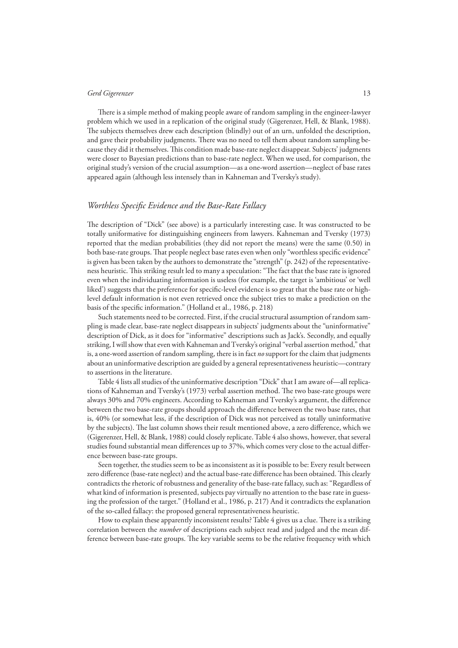There is a simple method of making people aware of random sampling in the engineer-lawyer problem which we used in a replication of the original study (Gigerenzer, Hell, & Blank, 1988). The subjects themselves drew each description (blindly) out of an urn, unfolded the description, and gave their probability judgments. There was no need to tell them about random sampling because they did it themselves. This condition made base-rate neglect disappear. Subjects' judgments were closer to Bayesian predictions than to base-rate neglect. When we used, for comparison, the original study's version of the crucial assumption—as a one-word assertion—neglect of base rates appeared again (although less intensely than in Kahneman and Tversky's study).

# *Worthless Specific Evidence and the Base-Rate Fallacy*

The description of "Dick" (see above) is a particularly interesting case. It was constructed to be totally uniformative for distinguishing engineers from lawyers. Kahneman and Tversky (1973) reported that the median probabilities (they did not report the means) were the same (0.50) in both base-rate groups. That people neglect base rates even when only "worthless specific evidence" is given has been taken by the authors to demonstrate the "strength" (p. 242) of the representativeness heuristic. This striking result led to many a speculation: "The fact that the base rate is ignored even when the individuating information is useless (for example, the target is 'ambitious' or 'well liked') suggests that the preference for specific-level evidence is so great that the base rate or highlevel default information is not even retrieved once the subject tries to make a prediction on the basis of the specific information." (Holland et al., 1986, p. 218)

Such statements need to be corrected. First, if the crucial structural assumption of random sampling is made clear, base-rate neglect disappears in subjects' judgments about the "uninformative" description of Dick, as it does for "informative" descriptions such as Jack's. Secondly, and equally striking, I will show that even with Kahneman and Tversky's original "verbal assertion method," that is, a one-word assertion of random sampling, there is in fact *no* support for the claim that judgments about an uninformative description are guided by a general representativeness heuristic—contrary to assertions in the literature.

Table 4 lists all studies of the uninformative description "Dick" that I am aware of—all replications of Kahneman and Tversky's (1973) verbal assertion method. The two base-rate groups were always 30% and 70% engineers. According to Kahneman and Tversky's argument, the difference between the two base-rate groups should approach the difference between the two base rates, that is, 40% (or somewhat less, if the description of Dick was not perceived as totally uninformative by the subjects). The last column shows their result mentioned above, a zero difference, which we (Gigerenzer, Hell, & Blank, 1988) could closely replicate. Table 4 also shows, however, that several studies found substantial mean differences up to 37%, which comes very close to the actual difference between base-rate groups.

Seen together, the studies seem to be as inconsistent as it is possible to be: Every result between zero difference (base-rate neglect) and the actual base-rate difference has been obtained. This clearly contradicts the rhetoric of robustness and generality of the base-rate fallacy, such as: "Regardless of what kind of information is presented, subjects pay virtually no attention to the base rate in guessing the profession of the target." (Holland et al., 1986, p. 217) And it contradicts the explanation of the so-called fallacy: the proposed general representativeness heuristic.

How to explain these apparently inconsistent results? Table 4 gives us a clue. There is a striking correlation between the *number* of descriptions each subject read and judged and the mean difference between base-rate groups. The key variable seems to be the relative frequency with which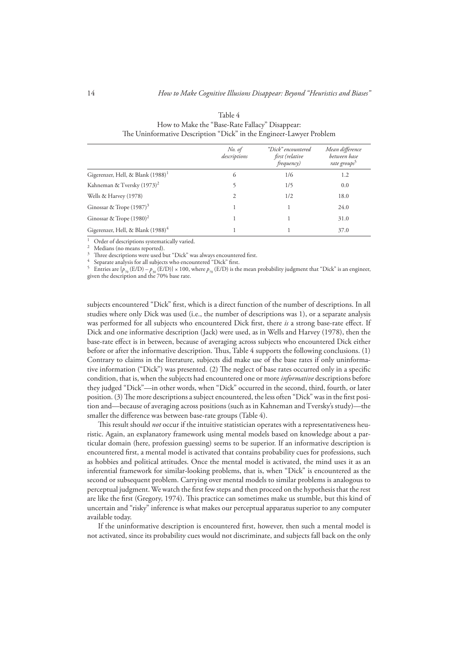|                                        | No. of<br>descriptions | "Dick" encountered<br>first (relative<br><i>frequency</i> ) | Mean difference<br>between base<br>rate groups <sup>5</sup> |
|----------------------------------------|------------------------|-------------------------------------------------------------|-------------------------------------------------------------|
| Gigerenzer, Hell, & Blank $(1988)^{1}$ | 6                      | 1/6                                                         | 1.2                                                         |
| Kahneman & Tversky (1973) <sup>2</sup> |                        | 1/5                                                         | 0.0                                                         |
| Wells & Harvey (1978)                  | $\overline{c}$         | 1/2                                                         | 18.0                                                        |
| Ginossar & Trope $(1987)^3$            |                        |                                                             | 24.0                                                        |
| Ginossar & Trope $(1980)^2$            |                        |                                                             | 31.0                                                        |
| Gigerenzer, Hell, & Blank $(1988)^4$   |                        |                                                             | 37.0                                                        |

| Table 4                                                             |
|---------------------------------------------------------------------|
| How to Make the "Base-Rate Fallacy" Disappear:                      |
| The Uninformative Description "Dick" in the Engineer-Lawyer Problem |

1 Order of descriptions systematically varied.

 $^2$  Medians (no means reported).<br>  $^3$  Three descriptions were used b

Three descriptions were used but "Dick" was always encountered first.

Separate analysis for all subjects who encountered "Dick" first.

Entries are  $\{p_{70}(\text{E/D}) - p_{30}(\text{E/D})\} \times 100$ , where  $p_{70}(\text{E/D})$  is the mean probability judgment that "Dick" is an engineer, given the description and the 70% base rate.

subjects encountered "Dick" first, which is a direct function of the number of descriptions. In all studies where only Dick was used (i.e., the number of descriptions was 1), or a separate analysis was performed for all subjects who encountered Dick first, there *is* a strong base-rate effect. If Dick and one informative description (Jack) were used, as in Wells and Harvey (1978), then the base-rate effect is in between, because of averaging across subjects who encountered Dick either before or after the informative description. Thus, Table 4 supports the following conclusions. (1) Contrary to claims in the literature, subjects did make use of the base rates if only uninformative information ("Dick") was presented. (2) The neglect of base rates occurred only in a specific condition, that is, when the subjects had encountered one or more *informative* descriptions before they judged "Dick"—in other words, when "Dick" occurred in the second, third, fourth, or later position. (3) The more descriptions a subject encountered, the less often "Dick" was in the first position and—because of averaging across positions (such as in Kahneman and Tversky's study)—the smaller the difference was between base-rate groups (Table 4).

This result should *not* occur if the intuitive statistician operates with a representativeness heuristic. Again, an explanatory framework using mental models based on knowledge about a particular domain (here, profession guessing) seems to be superior. If an informative description is encountered first, a mental model is activated that contains probability cues for professions, such as hobbies and political attitudes. Once the mental model is activated, the mind uses it as an inferential framework for similar-looking problems, that is, when "Dick" is encountered as the second or subsequent problem. Carrying over mental models to similar problems is analogous to perceptual judgment. We watch the first few steps and then proceed on the hypothesis that the rest are like the first (Gregory, 1974). This practice can sometimes make us stumble, but this kind of uncertain and "risky" inference is what makes our perceptual apparatus superior to any computer available today.

If the uninformative description is encountered first, however, then such a mental model is not activated, since its probability cues would not discriminate, and subjects fall back on the only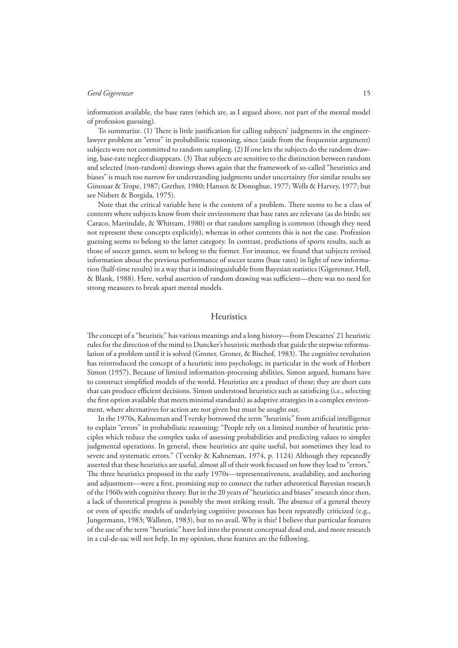information available, the base rates (which are, as I argued above, not part of the mental model of profession guessing).

To summarize. (1) There is little justification for calling subjects' judgments in the engineerlawyer problem an "error" in probabilistic reasoning, since (aside from the frequentist argument) subjects were not committed to random sampling. (2) If one lets the subjects do the random drawing, base-rate neglect disappears. (3) That subjects are sensitive to the distinction between random and selected (non-random) drawings shows again that the framework of so-called "heuristics and biases" is much too narrow for understanding judgments under uncertainty (for similar results see Ginossar & Trope, 1987; Grether, 1980; Hansen & Donoghue, 1977; Wells & Harvey, 1977; but see Nisbett & Borgida, 1975).

Note that the critical variable here is the content of a problem. There seems to be a class of contents where subjects know from their environment that base rates are relevant (as do birds; see Caraco, Martindale, & Whittam, 1980) or that random sampling is common (though they need not represent these concepts explicitly), whereas in other contents this is not the case. Profession guessing seems to belong to the latter category. In contrast, predictions of sports results, such as those of soccer games, seem to belong to the former. For instance, we found that subjects revised information about the previous performance of soccer teams (base rates) in light of new information (half-time results) in a way that is indistinguishable from Bayesian statistics (Gigerenzer, Hell, & Blank, 1988). Here, verbal assertion of random drawing was sufficient—there was no need for strong measures to break apart mental models.

### **Heuristics**

The concept of a "heuristic" has various meanings and a long history—from Descartes' 21 heuristic rules for the direction of the mind to Duncker's heuristic methods that guide the stepwise reformulation of a problem until it is solved (Groner, Groner, & Bischof, 1983). The cognitive revolution has reintroduced the concept of a heuristic into psychology, in particular in the work of Herbert Simon (1957). Because of limited information-processing abilities, Simon argued, humans have to construct simplified models of the world. Heuristics are a product of these; they are short cuts that can produce efficient decisions. Simon understood heuristics such as satisficing (i.e., selecting the first option available that meets minimal standards) as adaptive strategies in a complex environment, where alternatives for action are not given but must be sought out.

In the 1970s, Kahneman and Tversky borrowed the term "heuristic" from artificial intelligence to explain "errors" in probabilistic reasoning: "People rely on a limited number of heuristic principles which reduce the complex tasks of assessing probabilities and predicting values to simpler judgmental operations. In general, these heuristics are quite useful, but sometimes they lead to severe and systematic errors." (Tversky & Kahneman, 1974, p. 1124) Although they repeatedly asserted that these heuristics are useful, almost all of their work focused on how they lead to "errors." The three heuristics proposed in the early 1970s—representativeness, availability, and anchoring and adjustment—were a first, promising step to connect the rather atheoretical Bayesian research of the 1960s with cognitive theory. But in the 20 years of "heuristics and biases" research since then, a lack of theoretical progress is possibly the most striking result. The absence of a general theory or even of specific models of underlying cognitive processes has been repeatedly criticized (e.g., Jungermann, 1983; Wallsten, 1983), but to no avail. Why is this? I believe that particular features of the use of the term "heuristic" have led into the present conceptual dead end, and more research in a cul-de-sac will not help. In my opinion, these features are the following.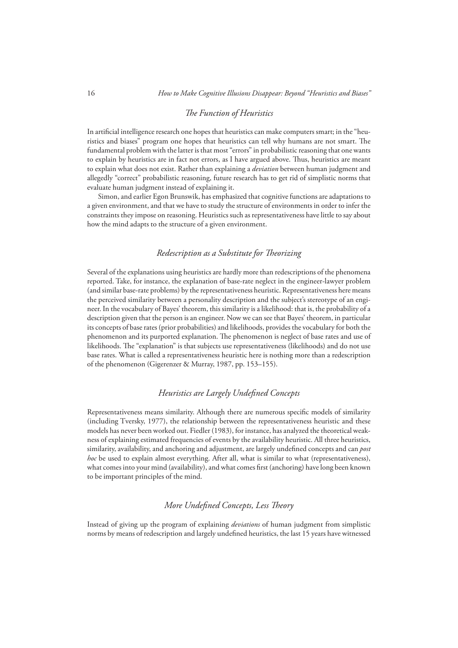# **The Function of Heuristics**

In artificial intelligence research one hopes that heuristics can make computers smart; in the "heuristics and biases" program one hopes that heuristics can tell why humans are not smart. The fundamental problem with the latter is that most "errors" in probabilistic reasoning that one wants to explain by heuristics are in fact not errors, as I have argued above. Thus, heuristics are meant to explain what does not exist. Rather than explaining a *deviation* between human judgment and allegedly "correct" probabilistic reasoning, future research has to get rid of simplistic norms that evaluate human judgment instead of explaining it.

Simon, and earlier Egon Brunswik, has emphasized that cognitive functions are adaptations to a given environment, and that we have to study the structure of environments in order to infer the constraints they impose on reasoning. Heuristics such as representativeness have little to say about how the mind adapts to the structure of a given environment.

# *Redescription as a Substitute for Th eorizing*

Several of the explanations using heuristics are hardly more than redescriptions of the phenomena reported. Take, for instance, the explanation of base-rate neglect in the engineer-lawyer problem (and similar base-rate problems) by the representativeness heuristic. Representativeness here means the perceived similarity between a personality description and the subject's stereotype of an engineer. In the vocabulary of Bayes' theorem, this similarity is a likelihood: that is, the probability of a description given that the person is an engineer. Now we can see that Bayes' theorem, in particular its concepts of base rates (prior probabilities) and likelihoods, provides the vocabulary for both the phenomenon and its purported explanation. The phenomenon is neglect of base rates and use of likelihoods. The "explanation" is that subjects use representativeness (likelihoods) and do not use base rates. What is called a representativeness heuristic here is nothing more than a redescription of the phenomenon (Gigerenzer & Murray, 1987, pp. 153–155).

# **Heuristics are Largely Undefined Concepts**

Representativeness means similarity. Although there are numerous specific models of similarity (including Tversky, 1977), the relationship between the representativeness heuristic and these models has never been worked out. Fiedler (1983), for instance, has analyzed the theoretical weakness of explaining estimated frequencies of events by the availability heuristic. All three heuristics, similarity, availability, and anchoring and adjustment, are largely undefined concepts and can *post hoc* be used to explain almost everything. After all, what is similar to what (representativeness), what comes into your mind (availability), and what comes first (anchoring) have long been known to be important principles of the mind.

# *More Undefined Concepts, Less Theory*

Instead of giving up the program of explaining *deviations* of human judgment from simplistic norms by means of redescription and largely undefined heuristics, the last 15 years have witnessed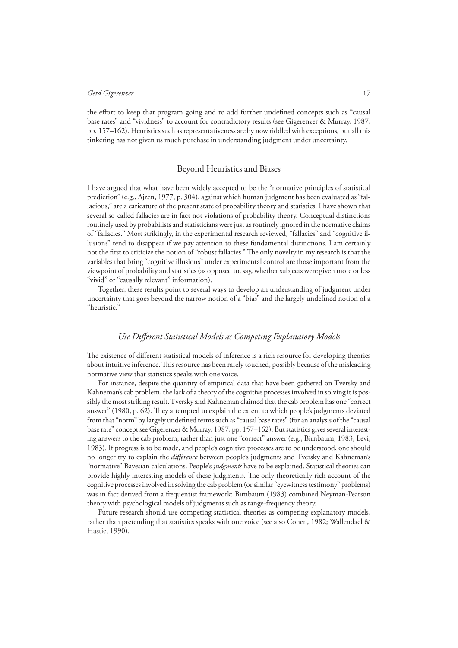the effort to keep that program going and to add further undefined concepts such as "causal base rates" and "vividness" to account for contradictory results (see Gigerenzer & Murray, 1987, pp. 157–162). Heuristics such as representativeness are by now riddled with exceptions, but all this tinkering has not given us much purchase in understanding judgment under uncertainty.

### Beyond Heuristics and Biases

I have argued that what have been widely accepted to be the "normative principles of statistical prediction" (e.g., Ajzen, 1977, p. 304), against which human judgment has been evaluated as "fallacious," are a caricature of the present state of probability theory and statistics. I have shown that several so-called fallacies are in fact not violations of probability theory. Conceptual distinctions routinely used by probabilists and statisticians were just as routinely ignored in the normative claims of "fallacies." Most strikingly, in the experimental research reviewed, "fallacies" and "cognitive illusions" tend to disappear if we pay attention to these fundamental distinctions. I am certainly not the first to criticize the notion of "robust fallacies." The only novelty in my research is that the variables that bring "cognitive illusions" under experimental control are those important from the viewpoint of probability and statistics (as opposed to, say, whether subjects were given more or less "vivid" or "causally relevant" information).

Together, these results point to several ways to develop an understanding of judgment under uncertainty that goes beyond the narrow notion of a "bias" and the largely undefined notion of a "heuristic."

# *Use Different Statistical Models as Competing Explanatory Models*

The existence of different statistical models of inference is a rich resource for developing theories about intuitive inference. This resource has been rarely touched, possibly because of the misleading normative view that statistics speaks with one voice.

For instance, despite the quantity of empirical data that have been gathered on Tversky and Kahneman's cab problem, the lack of a theory of the cognitive processes involved in solving it is possibly the most striking result. Tversky and Kahneman claimed that the cab problem has one "correct answer" (1980, p. 62). They attempted to explain the extent to which people's judgments deviated from that "norm" by largely undefined terms such as "causal base rates" (for an analysis of the "causal base rate" concept see Gigerenzer & Murray, 1987, pp. 157–162). But statistics gives several interesting answers to the cab problem, rather than just one "correct" answer (e.g., Birnbaum, 1983; Levi, 1983). If progress is to be made, and people's cognitive processes are to be understood, one should no longer try to explain the *difference* between people's judgments and Tversky and Kahneman's "normative" Bayesian calculations. People's *judgments* have to be explained. Statistical theories can provide highly interesting models of these judgments. The only theoretically rich account of the cognitive processes involved in solving the cab problem (or similar "eyewitness testimony" problems) was in fact derived from a frequentist framework: Birnbaum (1983) combined Neyman-Pearson theory with psychological models of judgments such as range-frequency theory.

Future research should use competing statistical theories as competing explanatory models, rather than pretending that statistics speaks with one voice (see also Cohen, 1982; Wallendael & Hastie, 1990).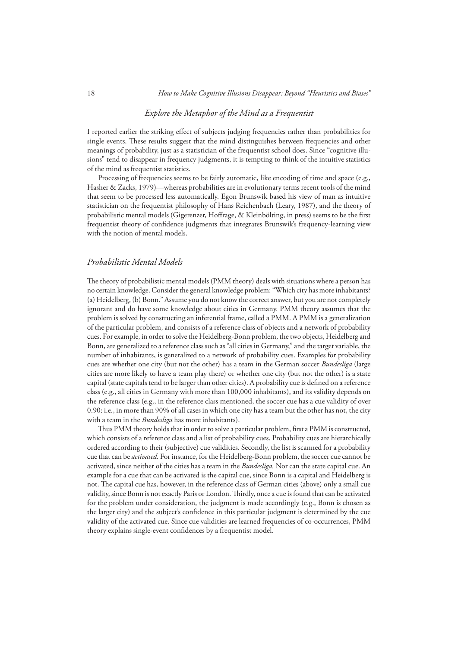# *Explore the Metaphor of the Mind as a Frequentist*

I reported earlier the striking effect of subjects judging frequencies rather than probabilities for single events. These results suggest that the mind distinguishes between frequencies and other meanings of probability, just as a statistician of the frequentist school does. Since "cognitive illusions" tend to disappear in frequency judgments, it is tempting to think of the intuitive statistics of the mind as frequentist statistics.

Processing of frequencies seems to be fairly automatic, like encoding of time and space (e.g., Hasher & Zacks, 1979)—whereas probabilities are in evolutionary terms recent tools of the mind that seem to be processed less automatically. Egon Brunswik based his view of man as intuitive statistician on the frequentist philosophy of Hans Reichenbach (Leary, 1987), and the theory of probabilistic mental models (Gigerenzer, Hoffrage, & Kleinbölting, in press) seems to be the first frequentist theory of confidence judgments that integrates Brunswik's frequency-learning view with the notion of mental models.

# *Probabilistic Mental Models*

The theory of probabilistic mental models (PMM theory) deals with situations where a person has no certain knowledge. Consider the general knowledge problem: "Which city has more inhabitants? (a) Heidelberg, (b) Bonn." Assume you do not know the correct answer, but you are not completely ignorant and do have some knowledge about cities in Germany. PMM theory assumes that the problem is solved by constructing an inferential frame, called a PMM. A PMM is a generalization of the particular problem, and consists of a reference class of objects and a network of probability cues. For example, in order to solve the Heidelberg-Bonn problem, the two objects, Heidelberg and Bonn, are generalized to a reference class such as "all cities in Germany," and the target variable, the number of inhabitants, is generalized to a network of probability cues. Examples for probability cues are whether one city (but not the other) has a team in the German soccer *Bundesliga* (large cities are more likely to have a team play there) or whether one city (but not the other) is a state capital (state capitals tend to be larger than other cities). A probability cue is defined on a reference class (e.g., all cities in Germany with more than 100,000 inhabitants), and its validity depends on the reference class (e.g., in the reference class mentioned, the soccer cue has a cue validity of over 0.90: i.e., in more than 90% of all cases in which one city has a team but the other has not, the city with a team in the *Bundesliga* has more inhabitants).

Thus PMM theory holds that in order to solve a particular problem, first a PMM is constructed, which consists of a reference class and a list of probability cues. Probability cues are hierarchically ordered according to their (subjective) cue validities. Secondly, the list is scanned for a probability cue that can be *activated.* For instance, for the Heidelberg-Bonn problem, the soccer cue cannot be activated, since neither of the cities has a team in the *Bundesliga.* Nor can the state capital cue. An example for a cue that can be activated is the capital cue, since Bonn is a capital and Heidelberg is not. The capital cue has, however, in the reference class of German cities (above) only a small cue validity, since Bonn is not exactly Paris or London. Thirdly, once a cue is found that can be activated for the problem under consideration, the judgment is made accordingly (e.g., Bonn is chosen as the larger city) and the subject's confidence in this particular judgment is determined by the cue validity of the activated cue. Since cue validities are learned frequencies of co-occurrences, PMM theory explains single-event confidences by a frequentist model.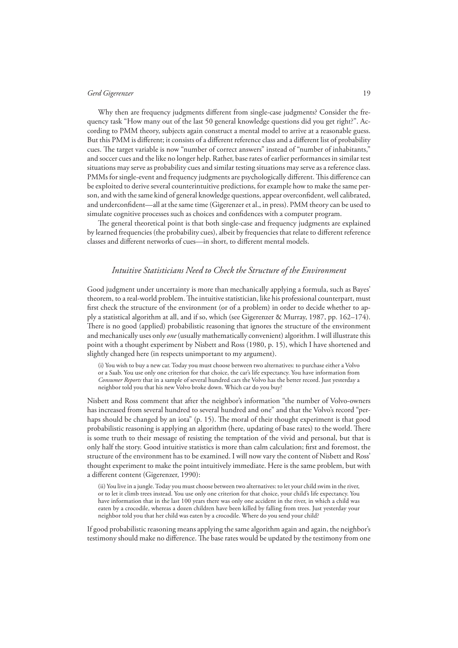Why then are frequency judgments different from single-case judgments? Consider the frequency task "How many out of the last 50 general knowledge questions did you get right?". According to PMM theory, subjects again construct a mental model to arrive at a reasonable guess. But this PMM is different; it consists of a different reference class and a different list of probability cues. The target variable is now "number of correct answers" instead of "number of inhabitants," and soccer cues and the like no longer help. Rather, base rates of earlier performances in similar test situations may serve as probability cues and similar testing situations may serve as a reference class. PMMs for single-event and frequency judgments are psychologically different. This difference can be exploited to derive several counterintuitive predictions, for example how to make the same person, and with the same kind of general knowledge questions, appear overconfident, well calibrated, and underconfident—all at the same time (Gigerenzer et al., in press). PMM theory can be used to simulate cognitive processes such as choices and confidences with a computer program.

The general theoretical point is that both single-case and frequency judgments are explained by learned frequencies (the probability cues), albeit by frequencies that relate to different reference classes and different networks of cues—in short, to different mental models.

# *Intuitive Statisticians Need to Check the Structure of the Environment*

Good judgment under uncertainty is more than mechanically applying a formula, such as Bayes' theorem, to a real-world problem. The intuitive statistician, like his professional counterpart, must first check the structure of the environment (or of a problem) in order to decide whether to apply a statistical algorithm at all, and if so, which (see Gigerenzer & Murray, 1987, pp. 162–174). There is no good (applied) probabilistic reasoning that ignores the structure of the environment and mechanically uses only *one* (usually mathematically convenient) algorithm. I will illustrate this point with a thought experiment by Nisbett and Ross (1980, p. 15), which I have shortened and slightly changed here (in respects unimportant to my argument).

(i) You wish to buy a new car. Today you must choose between two alternatives: to purchase either a Volvo or a Saab. You use only one criterion for that choice, the car's life expectancy. You have information from *Consumer Reports* that in a sample of several hundred cars the Volvo has the better record. Just yesterday a neighbor told you that his new Volvo broke down. Which car do you buy?

Nisbett and Ross comment that after the neighbor's information "the number of Volvo-owners has increased from several hundred to several hundred and one" and that the Volvo's record "perhaps should be changed by an iota" (p. 15). The moral of their thought experiment is that good probabilistic reasoning is applying an algorithm (here, updating of base rates) to the world. There is some truth to their message of resisting the temptation of the vivid and personal, but that is only half the story. Good intuitive statistics is more than calm calculation; first and foremost, the structure of the environment has to be examined. I will now vary the content of Nisbett and Ross' thought experiment to make the point intuitively immediate. Here is the same problem, but with a different content (Gigerenzer, 1990):

(ii) You live in a jungle. Today you must choose between two alternatives: to let your child swim in the river, or to let it climb trees instead. You use only one criterion for that choice, your child's life expectancy. You have information that in the last 100 years there was only one accident in the river, in which a child was eaten by a crocodile, whereas a dozen children have been killed by falling from trees. Just yesterday your neighbor told you that her child was eaten by a crocodile. Where do you send your child?

If good probabilistic reasoning means applying the same algorithm again and again, the neighbor's testimony should make no difference. The base rates would be updated by the testimony from one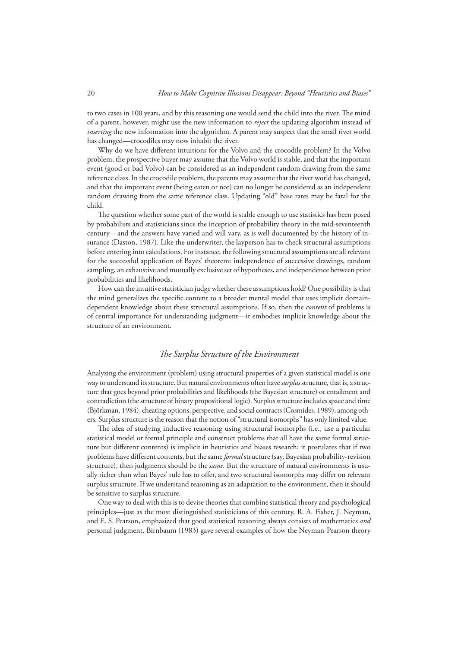to two cases in 100 years, and by this reasoning one would send the child into the river. The mind of a parent, however, might use the new information to *reject* the updating algorithm instead of *inserting* the new information into the algorithm. A parent may suspect that the small river world has changed—crocodiles may now inhabit the river.

Why do we have different intuitions for the Volvo and the crocodile problem? In the Volvo problem, the prospective buyer may assume that the Volvo world is stable, and that the important event (good or bad Volvo) can be considered as an independent random drawing from the same reference class. In the crocodile problem, the parents may assume that the river world has changed, and that the important event (being eaten or not) can no longer be considered as an independent random drawing from the same reference class. Updating "old" base rates may be fatal for the child.

The question whether some part of the world is stable enough to use statistics has been posed by probabilists and statisticians since the inception of probability theory in the mid-seventeenth century—and the answers have varied and will vary, as is well documented by the history of insurance (Daston, 1987). Like the underwriter, the layperson has to check structural assumptions before entering into calculations. For instance, the following structural assumptions are all relevant for the successful application of Bayes' theorem: independence of successive drawings, random sampling, an exhaustive and mutually exclusive set of hypotheses, and independence between prior probabilities and likelihoods.

How can the intuitive statistician judge whether these assumptions hold? One possibility is that the mind generalizes the specific content to a broader mental model that uses implicit domaindependent knowledge about these structural assumptions. If so, then the *content* of problems is of central importance for understanding judgment—it embodies implicit knowledge about the structure of an environment.

# *The Surplus Structure of the Environment*

Analyzing the environment (problem) using structural properties of a given statistical model is one way to understand its structure. But natural environments often have *surplus* structure, that is, a structure that goes beyond prior probabilities and likelihoods (the Bayesian structure) or entailment and contradiction (the structure of binary propositional logic). Surplus structure includes space and time (Björkman, 1984), cheating options, perspective, and social contracts (Cosmides, 1989), among others. Surplus structure is the reason that the notion of "structural isomorphs" has only limited value.

The idea of studying inductive reasoning using structural isomorphs (i.e., use a particular statistical model or formal principle and construct problems that all have the same formal structure but different contents) is implicit in heuristics and biases research; it postulates that if two problems have different contents, but the same *formal* structure (say, Bayesian probability-revision structure), then judgments should be the *same.* But the structure of natural environments is usually richer than what Bayes' rule has to offer, and two structural isomorphs may differ on relevant surplus structure. If we understand reasoning as an adaptation to the environment, then it should be sensitive to surplus structure.

One way to deal with this is to devise theories that combine statistical theory and psychological principles—just as the most distinguished statisticians of this century, R. A. Fisher, J. Neyman, and E. S. Pearson, emphasized that good statistical reasoning always consists of mathematics *and* personal judgment. Birnbaum (1983) gave several examples of how the Neyman-Pearson theory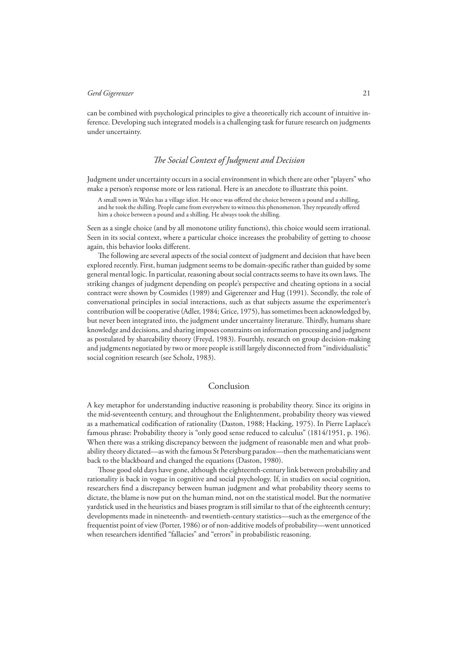can be combined with psychological principles to give a theoretically rich account of intuitive inference. Developing such integrated models is a challenging task for future research on judgments under uncertainty.

# **The Social Context of Judgment and Decision**

Judgment under uncertainty occurs in a social environment in which there are other "players" who make a person's response more or less rational. Here is an anecdote to illustrate this point.

A small town in Wales has a village idiot. He once was offered the choice between a pound and a shilling, and he took the shilling. People came from everywhere to witness this phenomenon. They repeatedly offered him a choice between a pound and a shilling. He always took the shilling.

Seen as a single choice (and by all monotone utility functions), this choice would seem irrational. Seen in its social context, where a particular choice increases the probability of getting to choose again, this behavior looks different.

The following are several aspects of the social context of judgment and decision that have been explored recently. First, human judgment seems to be domain-specific rather than guided by some general mental logic. In particular, reasoning about social contracts seems to have its own laws. The striking changes of judgment depending on people's perspective and cheating options in a social contract were shown by Cosmides (1989) and Gigerenzer and Hug (1991). Secondly, the role of conversational principles in social interactions, such as that subjects assume the experimenter's contribution will be cooperative (Adler, 1984; Grice, 1975), has sometimes been acknowledged by, but never been integrated into, the judgment under uncertainty literature. Thirdly, humans share knowledge and decisions, and sharing imposes constraints on information processing and judgment as postulated by shareability theory (Freyd, 1983). Fourthly, research on group decision-making and judgments negotiated by two or more people is still largely disconnected from "individualistic" social cognition research (see Scholz, 1983).

# Conclusion

A key metaphor for understanding inductive reasoning is probability theory. Since its origins in the mid-seventeenth century, and throughout the Enlightenment, probability theory was viewed as a mathematical codification of rationality (Daston, 1988; Hacking, 1975). In Pierre Laplace's famous phrase: Probability theory is "only good sense reduced to calculus" (1814/1951, p. 196). When there was a striking discrepancy between the judgment of reasonable men and what probability theory dictated—as with the famous St Petersburg paradox—then the mathematicians went back to the blackboard and changed the equations (Daston, 1980).

Those good old days have gone, although the eighteenth-century link between probability and rationality is back in vogue in cognitive and social psychology. If, in studies on social cognition, researchers find a discrepancy between human judgment and what probability theory seems to dictate, the blame is now put on the human mind, not on the statistical model. But the normative yardstick used in the heuristics and biases program is still similar to that of the eighteenth century; developments made in nineteenth- and twentieth-century statistics—such as the emergence of the frequentist point of view (Porter, 1986) or of non-additive models of probability—went unnoticed when researchers identified "fallacies" and "errors" in probabilistic reasoning.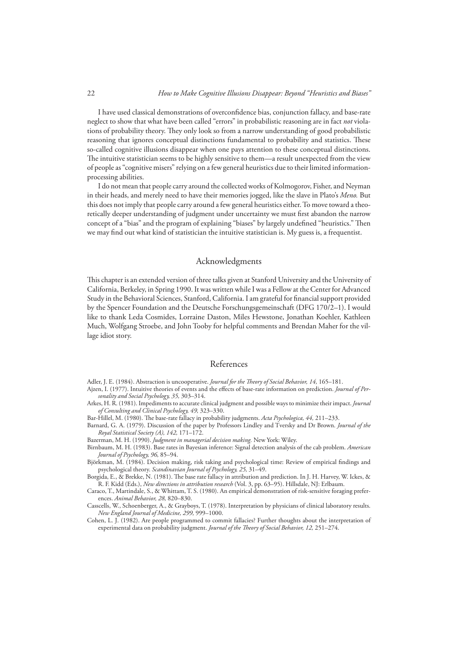I have used classical demonstrations of overconfidence bias, conjunction fallacy, and base-rate neglect to show that what have been called "errors" in probabilistic reasoning are in fact *not* violations of probability theory. They only look so from a narrow understanding of good probabilistic reasoning that ignores conceptual distinctions fundamental to probability and statistics. These so-called cognitive illusions disappear when one pays attention to these conceptual distinctions. The intuitive statistician seems to be highly sensitive to them—a result unexpected from the view of people as "cognitive misers" relying on a few general heuristics due to their limited informationprocessing abilities.

I do not mean that people carry around the collected works of Kolmogorov, Fisher, and Neyman in their heads, and merely need to have their memories jogged, like the slave in Plato's *Meno.* But this does not imply that people carry around a few general heuristics either. To move toward a theoretically deeper understanding of judgment under uncertainty we must first abandon the narrow concept of a "bias" and the program of explaining "biases" by largely undefined "heuristics." Then we may find out what kind of statistician the intuitive statistician is. My guess is, a frequentist.

### Acknowledgments

This chapter is an extended version of three talks given at Stanford University and the University of California, Berkeley, in Spring 1990. It was written while I was a Fellow at the Center for Advanced Study in the Behavioral Sciences, Stanford, California. I am grateful for financial support provided by the Spencer Foundation and the Deutsche Forschungsgemeinschaft (DFG 170/2–1). I would like to thank Leda Cosmides, Lorraine Daston, Miles Hewstone, Jonathan Koehler, Kathleen Much, Wolfgang Stroebe, and John Tooby for helpful comments and Brendan Maher for the village idiot story.

### References

Adler, J. E. (1984). Abstraction is uncooperative. *Journal for the Theory of Social Behavior*, 14, 165-181.

- Ajzen, I. (1977). Intuitive theories of events and the effects of base-rate information on prediction. *Journal of Personality and Social Psychology, 35,* 303–314.
- Arkes, H. R. (1981). Impediments to accurate clinical judgment and possible ways to minimize their impact. *Journal of Consulting and Clinical Psychology, 49,* 323–330.
- Bar-Hillel, M. (1980). The base-rate fallacy in probability judgments. Acta Psychologica, 44, 211-233.
- Barnard, G. A. (1979). Discussion of the paper by Professors Lindley and Tversky and Dr Brown. *Journal of the Royal Statistical Society (A), 142,* 171–172.

Bazerman, M. H. (1990). *Judgment in managerial decision making.* New York: Wiley.

- Birnbaum, M. H. (1983). Base rates in Bayesian inference: Signal detection analysis of the cab problem. *American Journal of Psychology, 96,* 85–94.
- Björkman, M. (1984). Decision making, risk taking and psychological time: Review of empirical findings and psychological theory. *Scandinavian Journal of Psychology, 25,* 31–49.
- Borgida, E., & Brekke, N. (1981). The base rate fallacy in attribution and prediction. In J. H. Harvey, W. Ickes, & R. F. Kidd (Eds.), *New directions in attribution research* (Vol. 3, pp. 63–95). Hillsdale, NJ: Erlbaum.

Caraco, T., Martindale, S., & Whittam, T. S. (1980). An empirical demonstration of risk-sensitive foraging preferences. *Animal Behavior, 28,* 820–830.

Casscells, W., Schoenberger, A., & Grayboys, T. (1978). Interpretation by physicians of clinical laboratory results. *New England Journal of Medicine, 299,* 999–1000.

Cohen, L. J. (1982). Are people programmed to commit fallacies? Further thoughts about the interpretation of experimental data on probability judgment. *Journal of the Theory of Social Behavior*, 12, 251–274.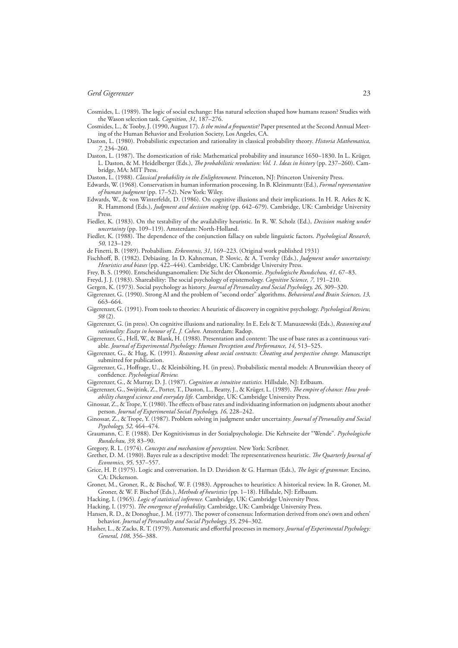- Cosmides, L. (1989). The logic of social exchange: Has natural selection shaped how humans reason? Studies with the Wason selection task. *Cognition, 31,* 187–276.
- Cosmides, L., & Tooby, J. (1990, August 17). *Is the mind a frequentist?* Paper presented at the Second Annual Meeting of the Human Behavior and Evolution Society, Los Angeles, CA.
- Daston, L. (1980). Probabilistic expectation and rationality in classical probability theory. *Historia Mathematica, 7,* 234–260.
- Daston, L. (1987). The domestication of risk: Mathematical probability and insurance 1650–1830. In L. Krüger, L. Daston, & M. Heidelberger (Eds.), *The probabilistic revolution: Vol. 1. Ideas in history* (pp. 237-260). Cambridge, MA: MIT Press.
- Daston, L. (1988). *Classical probability in the Enlightenment.* Princeton, NJ: Princeton University Press.
- Edwards, W. (1968). Conservatism in human information processing. In B. Kleinmuntz (Ed.), *Formal representation of human judgment* (pp. 17–52). New York: Wiley.
- Edwards, W., & von Winterfeldt, D. (1986). On cognitive illusions and their implications. In H. R. Arkes & K. R. Hammond (Eds.), *Judgment and decision making* (pp. 642–679). Cambridge, UK: Cambridge University Press.
- Fiedler, K. (1983). On the testability of the availability heuristic. In R. W. Scholz (Ed.), *Decision making under uncertainty* (pp. 109–119). Amsterdam: North-Holland.
- Fiedler, K. (1988). The dependence of the conjunction fallacy on subtle linguistic factors. *Psychological Research*, *50,* 123–129.

de Finetti, B. (1989). Probabilism. *Erkenntnis, 31,* 169–223. (Original work published 1931)

Fischhoff , B. (1982). Debiasing. In D. Kahneman, P. Slovic, & A. Tversky (Eds.), *Judgment under uncertainty: Heuristics and biases* (pp. 422–444). Cambridge, UK: Cambridge University Press.

Frey, B. S. (1990). Entscheidungsanomalien: Die Sicht der Ökonomie. *Psychologische Rundschau, 41,* 67–83.

- Freyd, J. J. (1983). Shareability: The social psychology of epistemology. *Cognitive Science*, 7, 191-210.
- Gergen, K. (1973). Social psychology as history. *Journal of Personality and Social Psychology, 26,* 309–320.
- Gigerenzer, G. (1990). Strong AI and the problem of "second order" algorithms. *Behavioral and Brain Sciences, 13,* 663–664.
- Gigerenzer, G. (1991). From tools to theories: A heuristic of discovery in cognitive psychology. *Psychological Review, 98* (2).

Gigerenzer, G. (in press). On cognitive illusions and nationality. In E. Eels & T. Manuszewski (Eds.), *Reasoning and rationality: Essays in honour of L. J. Cohen.* Amsterdam: Radop.

Gigerenzer, G., Hell, W., & Blank, H. (1988). Presentation and content: The use of base rates as a continuous variable. *Journal of Experimental Psychology: Human Perception and Performance, 14,* 513–525.

- Gigerenzer, G., & Hug, K. (1991). *Reasoning about social contracts: Cheating and perspective change.* Manuscript submitted for publication.
- Gigerenzer, G., Hoffrage, U., & Kleinbölting, H. (in press). Probabilistic mental models: A Brunswikian theory of confidence. Psychological Review.

Gigerenzer, G., & Murray, D. J. (1987). *Cognition as intuitive statistics.* Hillsdale, NJ: Erlbaum.

- Gigerenzer, G., Swijtink, Z., Porter, T., Daston, L., Beatty, J., & Krüger, L. (1989). *The empire of chance: How probability changed science and everyday life.* Cambridge, UK: Cambridge University Press.
- Ginossar, Z., & Trope, Y. (1980). The effects of base rates and individuating information on judgments about another person. *Journal of Experimental Social Psychology, 16,* 228–242.
- Ginossar, Z., & Trope, Y. (1987). Problem solving in judgment under uncertainty. *Journal of Personality and Social Psychology, 52,* 464–474.
- Graumann, C. F. (1988). Der Kognitivismus in der Sozialpsychologie. Die Kehrseite der "Wende". *Psychologische Rundschau, 39,* 83–90.

Gregory, R. L. (1974). *Concepts and mechanism of perception.* New York: Scribner.

- Grether, D. M. (1980). Bayes rule as a descriptive model: The representativeness heuristic. *The Quarterly Journal of Economics, 95,* 537–557.
- Grice, H. P. (1975). Logic and conversation. In D. Davidson & G. Harman (Eds.), *The logic of grammar*. Encino, CA: Dickenson.
- Groner, M., Groner, R., & Bischof, W. F. (1983). Approaches to heuristics: A historical review. In R. Groner, M. Groner, & W. F. Bischof (Eds.), *Methods of heuristics* (pp. 1–18). Hillsdale, NJ: Erlbaum.
- Hacking, I. (1965). *Logic of statistical inference.* Cambridge, UK: Cambridge University Press.

Hacking, I. (1975). *The emergence of probability*. Cambridge, UK: Cambridge University Press.

- Hansen, R. D., & Donoghue, J. M. (1977). The power of consensus: Information derived from one's own and others' behavior. *Journal of Personality and Social Psychology, 35,* 294–302.
- Hasher, L., & Zacks, R. T. (1979). Automatic and effortful processes in memory. *Journal of Experimental Psychology*: *General, 108,* 356–388.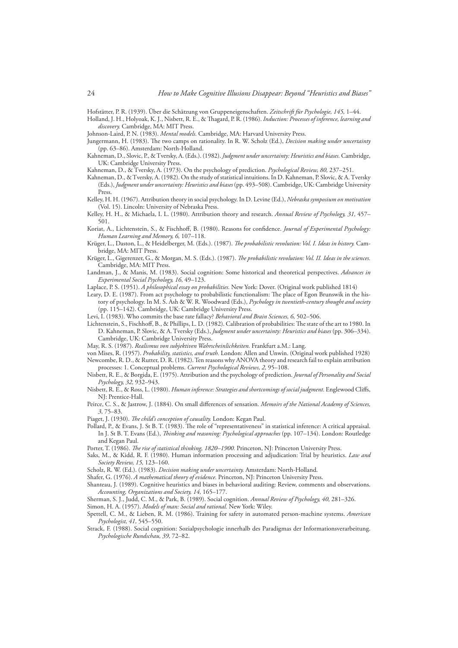Hofstätter, P. R. (1939). Über die Schätzung von Gruppeneigenschaften. *Zeitschrift für Psychologie, 145,* 1–44.

Holland, J. H., Holyoak, K. J., Nisbett, R. E., & Thagard, P. R. (1986). *Induction: Processes of inference, learning and discovery.* Cambridge, MA: MIT Press.

Johnson-Laird, P. N. (1983). *Mental models.* Cambridge, MA: Harvard University Press.

Jungermann, H. (1983). The two camps on rationality. In R. W. Scholz (Ed.), *Decision making under uncertainty* (pp. 63–86). Amsterdam: North-Holland.

Kahneman, D., Slovic, P., & Tversky, A. (Eds.). (1982). *Judgment under uncertainty: Heuristics and biases.* Cambridge, UK: Cambridge University Press.

Kahneman, D., & Tversky, A. (1973). On the psychology of prediction. *Psychological Review, 80,* 237–251.

Kahneman, D., & Tversky, A. (1982). On the study of statistical intuitions. In D. Kahneman, P. Slovic, & A. Tversky (Eds.), *Judgment under uncertainty: Heuristics and biases* (pp. 493–508). Cambridge, UK: Cambridge University Press.

Kelley, H. H. (1967). Attribution theory in social psychology. In D. Levine (Ed.), *Nebraska symposium on motivation*  (Vol. 15). Lincoln: University of Nebraska Press.

Kelley, H. H., & Michaela, I. L. (1980). Attribution theory and research. *Annual Review of Psychology, 31,* 457– 501.

Koriat, A., Lichtenstein, S., & Fischhoff, B. (1980). Reasons for confidence. *Journal of Experimental Psychology*: *Human Learning and Memory, 6,* 107–118.

Krüger, L., Daston, L., & Heidelberger, M. (Eds.). (1987). *The probabilistic revolution: Vol. I. Ideas in history.* Cambridge, MA: MIT Press.

Krüger, L., Gigerenzer, G., & Morgan, M. S. (Eds.). (1987). *The probabilistic revolution: Vol. II. Ideas in the sciences.* Cambridge, MA: MIT Press.

Landman, J., & Manis, M. (1983). Social cognition: Some historical and theoretical perspectives. *Advances in Experimental Social Psychology, 16,* 49–123.

Laplace, P. S. (1951). *A philosophical essay on probabilities.* New York: Dover. (Original work published 1814)

Leary, D. E. (1987). From act psychology to probabilistic functionalism: The place of Egon Brunswik in the history of psychology. In M. S. Ash & W. R. Woodward (Eds.), *Psychology in twentieth-century thought and society*  (pp. 115–142). Cambridge, UK: Cambridge University Press.

Levi, I. (1983). Who commits the base rate fallacy? *Behavioral and Brain Sciences, 6,* 502–506.

Lichtenstein, S., Fischhoff, B., & Phillips, L. D. (1982). Calibration of probabilities: The state of the art to 1980. In D. Kahneman, P. Slovic, & A. Tversky (Eds.), *Judgment under uncertainty: Heuristics and biases* (pp. 306–334). Cambridge, UK: Cambridge University Press.

May, R. S. (1987). *Realismus von subjektiven Wahrscheinlichkeiten.* Frankfurt a.M.: Lang.

von Mises, R. (1957). *Probability, statistics, and truth.* London: Allen and Unwin. (Original work published 1928)

Newcombe, R. D., & Rutter, D. R. (1982). Ten reasons why ANOVA theory and research fail to explain attribution processes: 1. Conceptual problems. *Current Psychological Reviews, 2,* 95–108.

Nisbett, R. E., & Borgida, E. (1975). Attribution and the psychology of prediction. *Journal of Personality and Social Psychology, 32,* 932–943.

Nisbett, R. E., & Ross, L. (1980). *Human inference: Strategies and shortcomings of social judgment*. Englewood Cliffs, NJ: Prentice-Hall.

Peirce, C. S., & Jastrow, J. (1884). On small differences of sensation. *Memoirs of the National Academy of Sciences*, *3,* 75–83.

Piaget, J. (1930). *The child's conception of causality*. London: Kegan Paul.

Pollard, P., & Evans, J. St B. T. (1983). The role of "representativeness" in statistical inference: A critical appraisal. In J. St B. T. Evans (Ed.), *Th inking and reasoning: Psychological approaches* (pp. 107–134). London: Routledge and Kegan Paul.

Porter, T. (1986). *The rise of statistical thinking, 1820–1900*. Princeton, NJ: Princeton University Press.

Saks, M., & Kidd, R. F. (1980). Human information processing and adjudication: Trial by heuristics. *Law and Society Review, 15,* 123–160.

Scholz, R. W. (Ed.). (1983). *Decision making under uncertainty.* Amsterdam: North-Holland.

Shafer, G. (1976). *A mathematical theory of evidence.* Princeton, NJ: Princeton University Press.

Shanteau, J. (1989). Cognitive heuristics and biases in behavioral auditing: Review, comments and observations. *Accounting, Organizations and Society, 14,* 165–177.

Sherman, S. J., Judd, C. M., & Park, B. (1989). Social cognition. *Annual Review of Psychology, 40,* 281–326.

Simon, H. A. (1957). *Models of man: Social and rational.* New York: Wiley.

Spettell, C. M., & Lieben, R. M. (1986). Training for safety in automated person-machine systems. *American Psychologist, 41,* 545–550.

Strack, F. (1988). Social cognition: Sozialpsychologie innerhalb des Paradigmas der Informationsverarbeitung. *Psychologische Rundschau, 39,* 72–82.